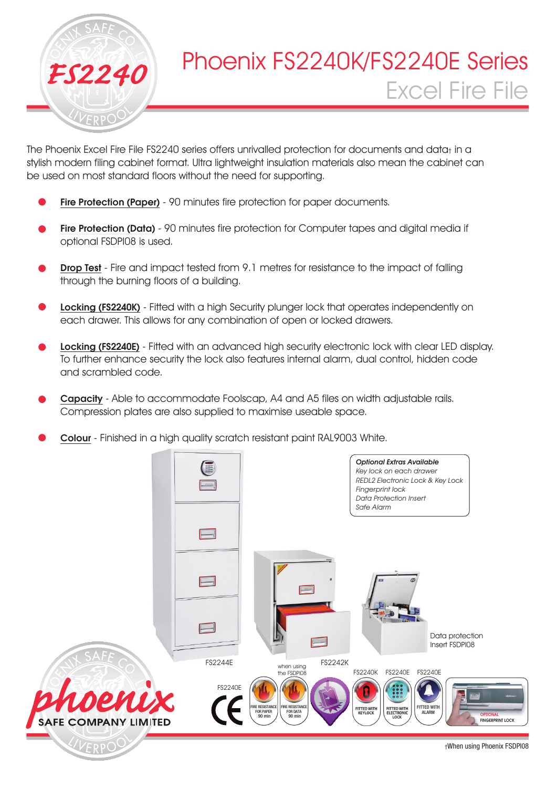

The Phoenix Excel Fire File FS2240 series offers unrivalled protection for documents and data<sub>t</sub> in a stylish modern filing cabinet format. Ultra lightweight insulation materials also mean the cabinet can be used on most standard floors without the need for supporting.

- Fire Protection (Paper) 90 minutes fire protection for paper documents.
- Fire Protection (Data) 90 minutes fire protection for Computer tapes and digital media if optional FSDPI08 is used.
- **Drop Test** Fire and impact tested from 9.1 metres for resistance to the impact of falling through the burning floors of a building.
- Locking (FS2240K) Fitted with a high Security plunger lock that operates independently on each drawer. This allows for any combination of open or locked drawers.
- Locking (FS2240E) Fitted with an advanced high security electronic lock with clear LED display. To further enhance security the lock also features internal alarm, dual control, hidden code and scrambled code.
- Capacity Able to accommodate Foolscap, A4 and A5 files on width adjustable rails. Compression plates are also supplied to maximise useable space.
- Colour Finished in a high quality scratch resistant paint RAL9003 White.